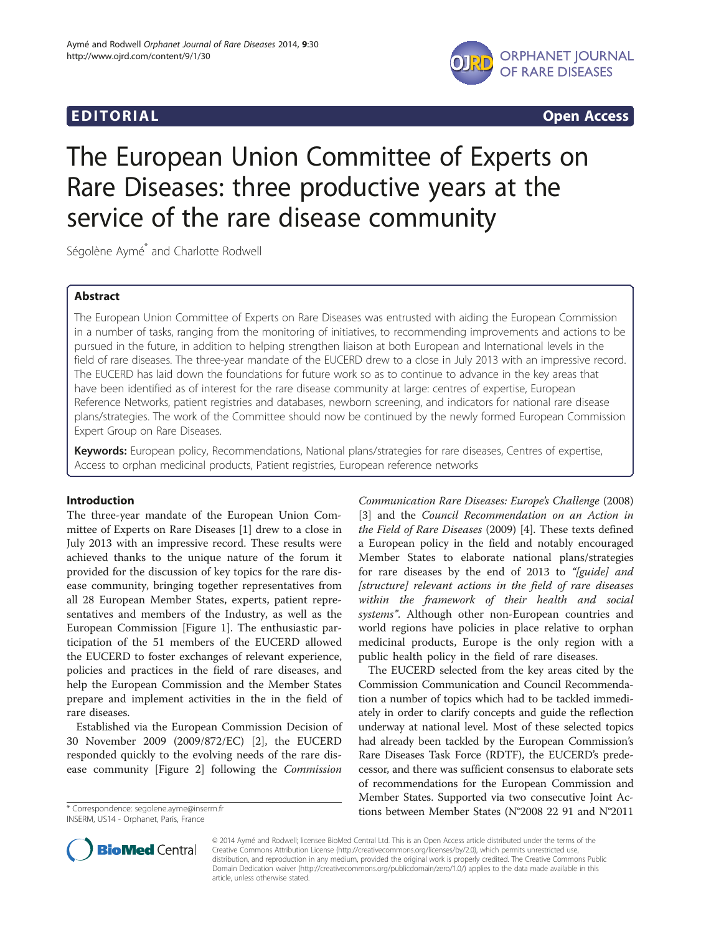## EDI TORIA L Open Access



# The European Union Committee of Experts on Rare Diseases: three productive years at the service of the rare disease community

Ségolène Aymé\* and Charlotte Rodwell

## Abstract

The European Union Committee of Experts on Rare Diseases was entrusted with aiding the European Commission in a number of tasks, ranging from the monitoring of initiatives, to recommending improvements and actions to be pursued in the future, in addition to helping strengthen liaison at both European and International levels in the field of rare diseases. The three-year mandate of the EUCERD drew to a close in July 2013 with an impressive record. The EUCERD has laid down the foundations for future work so as to continue to advance in the key areas that have been identified as of interest for the rare disease community at large: centres of expertise, European Reference Networks, patient registries and databases, newborn screening, and indicators for national rare disease plans/strategies. The work of the Committee should now be continued by the newly formed European Commission Expert Group on Rare Diseases.

Keywords: European policy, Recommendations, National plans/strategies for rare diseases, Centres of expertise, Access to orphan medicinal products, Patient registries, European reference networks

#### Introduction

The three-year mandate of the European Union Committee of Experts on Rare Diseases [\[1](#page-6-0)] drew to a close in July 2013 with an impressive record. These results were achieved thanks to the unique nature of the forum it provided for the discussion of key topics for the rare disease community, bringing together representatives from all 28 European Member States, experts, patient representatives and members of the Industry, as well as the European Commission [Figure [1](#page-1-0)]. The enthusiastic participation of the 51 members of the EUCERD allowed the EUCERD to foster exchanges of relevant experience, policies and practices in the field of rare diseases, and help the European Commission and the Member States prepare and implement activities in the in the field of rare diseases.

Established via the European Commission Decision of 30 November 2009 (2009/872/EC) [\[2\]](#page-6-0), the EUCERD responded quickly to the evolving needs of the rare disease community [Figure [2\]](#page-1-0) following the Commission

INSERM, US14 - Orphanet, Paris, France

Communication Rare Diseases: Europe's Challenge (2008) [[3\]](#page-6-0) and the Council Recommendation on an Action in the Field of Rare Diseases (2009) [\[4](#page-6-0)]. These texts defined a European policy in the field and notably encouraged Member States to elaborate national plans/strategies for rare diseases by the end of 2013 to "[guide] and [structure] relevant actions in the field of rare diseases within the framework of their health and social systems". Although other non-European countries and world regions have policies in place relative to orphan medicinal products, Europe is the only region with a public health policy in the field of rare diseases.

The EUCERD selected from the key areas cited by the Commission Communication and Council Recommendation a number of topics which had to be tackled immediately in order to clarify concepts and guide the reflection underway at national level. Most of these selected topics had already been tackled by the European Commission's Rare Diseases Task Force (RDTF), the EUCERD's predecessor, and there was sufficient consensus to elaborate sets of recommendations for the European Commission and Member States. Supported via two consecutive Joint Ac\*Correspondence: [segolene.ayme@inserm.fr](mailto:segolene.ayme@inserm.fr) the tions between Member States (N°2008 22 91 and N°2011



© 2014 Aymé and Rodwell; licensee BioMed Central Ltd. This is an Open Access article distributed under the terms of the Creative Commons Attribution License (<http://creativecommons.org/licenses/by/2.0>), which permits unrestricted use, distribution, and reproduction in any medium, provided the original work is properly credited. The Creative Commons Public Domain Dedication waiver [\(http://creativecommons.org/publicdomain/zero/1.0/\)](http://creativecommons.org/publicdomain/zero/1.0/) applies to the data made available in this article, unless otherwise stated.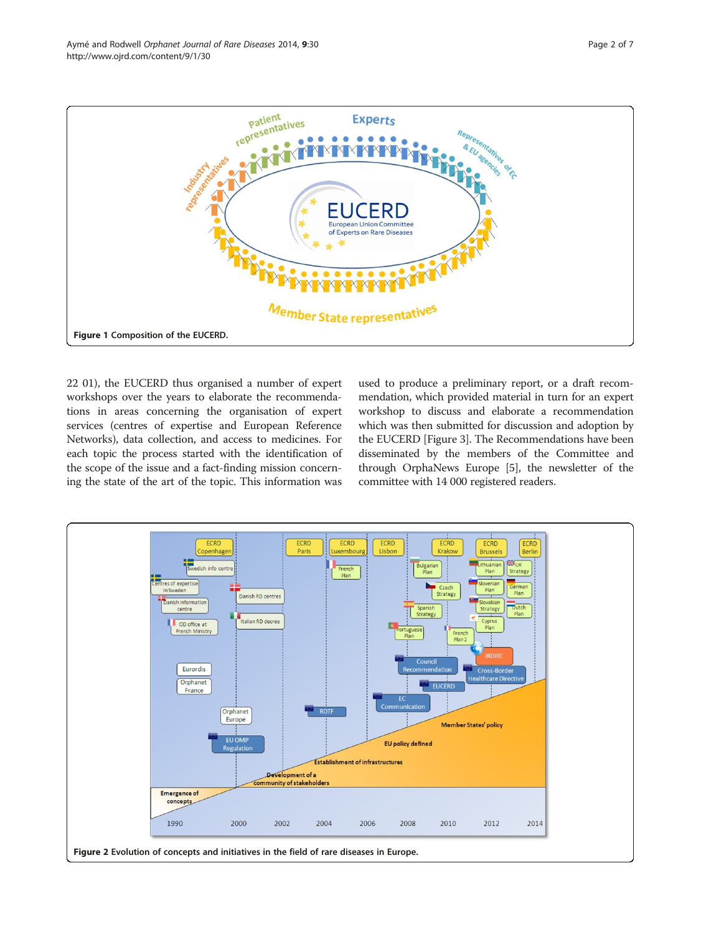<span id="page-1-0"></span>

22 01), the EUCERD thus organised a number of expert workshops over the years to elaborate the recommendations in areas concerning the organisation of expert services (centres of expertise and European Reference Networks), data collection, and access to medicines. For each topic the process started with the identification of the scope of the issue and a fact-finding mission concerning the state of the art of the topic. This information was

used to produce a preliminary report, or a draft recommendation, which provided material in turn for an expert workshop to discuss and elaborate a recommendation which was then submitted for discussion and adoption by the EUCERD [Figure [3\]](#page-2-0). The Recommendations have been disseminated by the members of the Committee and through OrphaNews Europe [[5\]](#page-6-0), the newsletter of the committee with 14 000 registered readers.

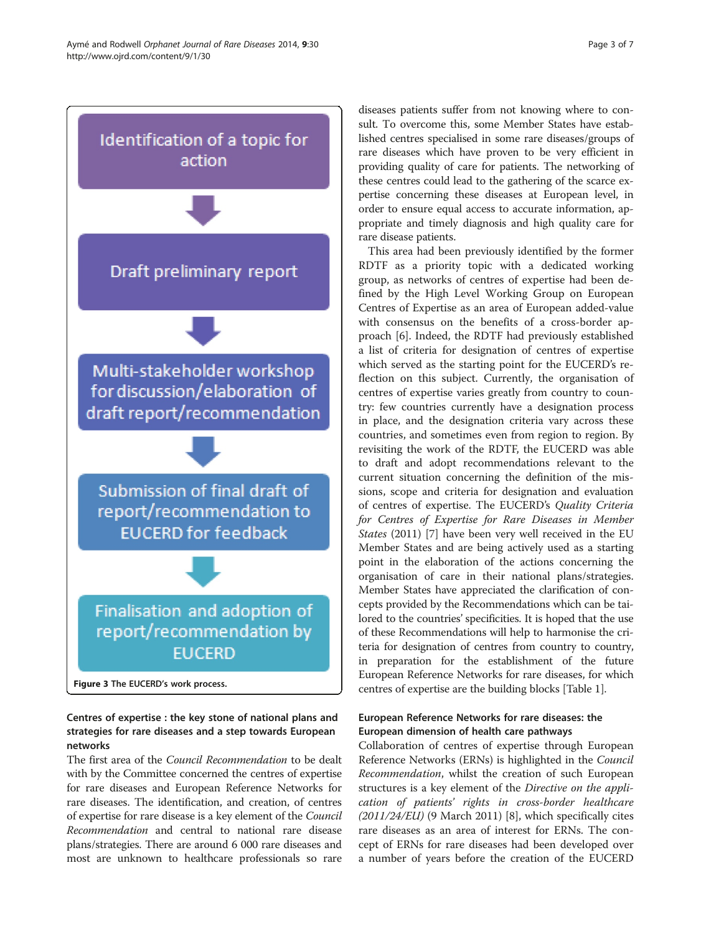<span id="page-2-0"></span>

## Centres of expertise : the key stone of national plans and strategies for rare diseases and a step towards European networks

The first area of the Council Recommendation to be dealt with by the Committee concerned the centres of expertise for rare diseases and European Reference Networks for rare diseases. The identification, and creation, of centres of expertise for rare disease is a key element of the Council Recommendation and central to national rare disease plans/strategies. There are around 6 000 rare diseases and most are unknown to healthcare professionals so rare

diseases patients suffer from not knowing where to consult. To overcome this, some Member States have established centres specialised in some rare diseases/groups of rare diseases which have proven to be very efficient in providing quality of care for patients. The networking of these centres could lead to the gathering of the scarce expertise concerning these diseases at European level, in order to ensure equal access to accurate information, appropriate and timely diagnosis and high quality care for rare disease patients.

This area had been previously identified by the former RDTF as a priority topic with a dedicated working group, as networks of centres of expertise had been defined by the High Level Working Group on European Centres of Expertise as an area of European added-value with consensus on the benefits of a cross-border approach [\[6](#page-6-0)]. Indeed, the RDTF had previously established a list of criteria for designation of centres of expertise which served as the starting point for the EUCERD's reflection on this subject. Currently, the organisation of centres of expertise varies greatly from country to country: few countries currently have a designation process in place, and the designation criteria vary across these countries, and sometimes even from region to region. By revisiting the work of the RDTF, the EUCERD was able to draft and adopt recommendations relevant to the current situation concerning the definition of the missions, scope and criteria for designation and evaluation of centres of expertise. The EUCERD's Quality Criteria for Centres of Expertise for Rare Diseases in Member States (2011) [[7\]](#page-6-0) have been very well received in the EU Member States and are being actively used as a starting point in the elaboration of the actions concerning the organisation of care in their national plans/strategies. Member States have appreciated the clarification of concepts provided by the Recommendations which can be tailored to the countries' specificities. It is hoped that the use of these Recommendations will help to harmonise the criteria for designation of centres from country to country, in preparation for the establishment of the future European Reference Networks for rare diseases, for which centres of expertise are the building blocks [Table [1](#page-3-0)].

## European Reference Networks for rare diseases: the European dimension of health care pathways

Collaboration of centres of expertise through European Reference Networks (ERNs) is highlighted in the Council Recommendation, whilst the creation of such European structures is a key element of the Directive on the application of patients' rights in cross-border healthcare  $(2011/24/EU)$  (9 March 2011) [[8\]](#page-6-0), which specifically cites rare diseases as an area of interest for ERNs. The concept of ERNs for rare diseases had been developed over a number of years before the creation of the EUCERD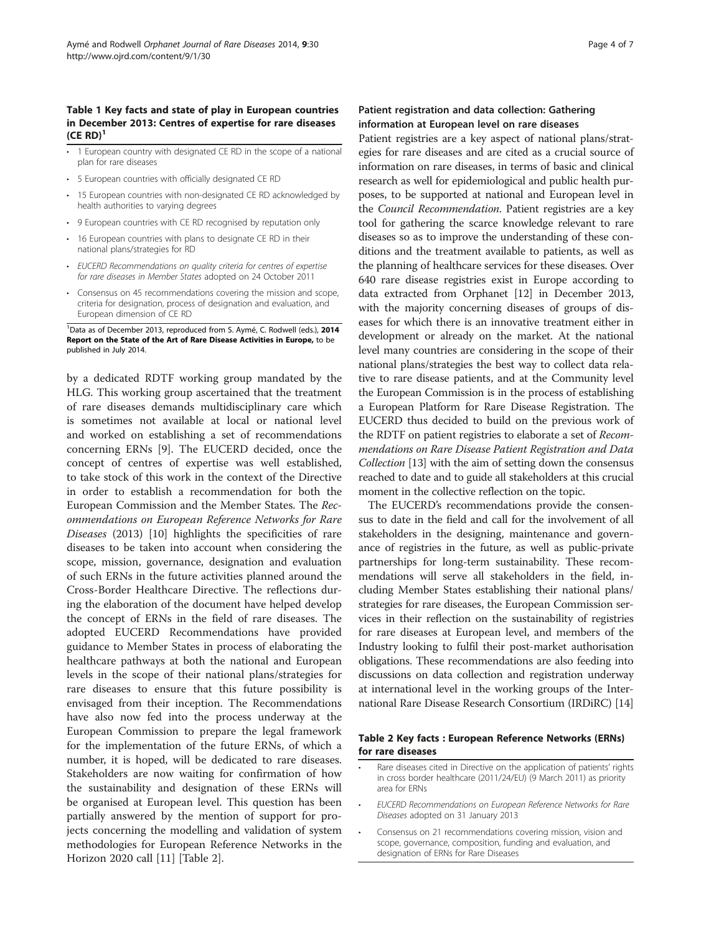#### <span id="page-3-0"></span>Table 1 Key facts and state of play in European countries in December 2013: Centres of expertise for rare diseases  $(CE RD)^1$

- 1 European country with designated CE RD in the scope of a national plan for rare diseases
- 5 European countries with officially designated CE RD
- 15 European countries with non-designated CE RD acknowledged by health authorities to varying degrees
- 9 European countries with CE RD recognised by reputation only
- 16 European countries with plans to designate CE RD in their national plans/strategies for RD
- EUCERD Recommendations on quality criteria for centres of expertise for rare diseases in Member States adopted on 24 October 2011
- Consensus on 45 recommendations covering the mission and scope, criteria for designation, process of designation and evaluation, and European dimension of CE RD

<sup>1</sup>Data as of December 2013, reproduced from S. Aymé, C. Rodwell (eds.), 2014 Report on the State of the Art of Rare Disease Activities in Europe, to be published in July 2014.

by a dedicated RDTF working group mandated by the HLG. This working group ascertained that the treatment of rare diseases demands multidisciplinary care which is sometimes not available at local or national level and worked on establishing a set of recommendations concerning ERNs [\[9](#page-6-0)]. The EUCERD decided, once the concept of centres of expertise was well established, to take stock of this work in the context of the Directive in order to establish a recommendation for both the European Commission and the Member States. The Recommendations on European Reference Networks for Rare Diseases (2013) [[10](#page-6-0)] highlights the specificities of rare diseases to be taken into account when considering the scope, mission, governance, designation and evaluation of such ERNs in the future activities planned around the Cross-Border Healthcare Directive. The reflections during the elaboration of the document have helped develop the concept of ERNs in the field of rare diseases. The adopted EUCERD Recommendations have provided guidance to Member States in process of elaborating the healthcare pathways at both the national and European levels in the scope of their national plans/strategies for rare diseases to ensure that this future possibility is envisaged from their inception. The Recommendations have also now fed into the process underway at the European Commission to prepare the legal framework for the implementation of the future ERNs, of which a number, it is hoped, will be dedicated to rare diseases. Stakeholders are now waiting for confirmation of how the sustainability and designation of these ERNs will be organised at European level. This question has been partially answered by the mention of support for projects concerning the modelling and validation of system methodologies for European Reference Networks in the Horizon 2020 call [[11\]](#page-6-0) [Table 2].

#### Patient registration and data collection: Gathering information at European level on rare diseases

Patient registries are a key aspect of national plans/strategies for rare diseases and are cited as a crucial source of information on rare diseases, in terms of basic and clinical research as well for epidemiological and public health purposes, to be supported at national and European level in the Council Recommendation. Patient registries are a key tool for gathering the scarce knowledge relevant to rare diseases so as to improve the understanding of these conditions and the treatment available to patients, as well as the planning of healthcare services for these diseases. Over 640 rare disease registries exist in Europe according to data extracted from Orphanet [\[12\]](#page-6-0) in December 2013, with the majority concerning diseases of groups of diseases for which there is an innovative treatment either in development or already on the market. At the national level many countries are considering in the scope of their national plans/strategies the best way to collect data relative to rare disease patients, and at the Community level the European Commission is in the process of establishing a European Platform for Rare Disease Registration. The EUCERD thus decided to build on the previous work of the RDTF on patient registries to elaborate a set of Recommendations on Rare Disease Patient Registration and Data Collection [\[13\]](#page-6-0) with the aim of setting down the consensus reached to date and to guide all stakeholders at this crucial moment in the collective reflection on the topic.

The EUCERD's recommendations provide the consensus to date in the field and call for the involvement of all stakeholders in the designing, maintenance and governance of registries in the future, as well as public-private partnerships for long-term sustainability. These recommendations will serve all stakeholders in the field, including Member States establishing their national plans/ strategies for rare diseases, the European Commission services in their reflection on the sustainability of registries for rare diseases at European level, and members of the Industry looking to fulfil their post-market authorisation obligations. These recommendations are also feeding into discussions on data collection and registration underway at international level in the working groups of the International Rare Disease Research Consortium (IRDiRC) [[14](#page-6-0)]

#### Table 2 Key facts : European Reference Networks (ERNs) for rare diseases

- Rare diseases cited in Directive on the application of patients' rights in cross border healthcare (2011/24/EU) (9 March 2011) as priority area for ERNs
- EUCERD Recommendations on European Reference Networks for Rare Diseases adopted on 31 January 2013
- Consensus on 21 recommendations covering mission, vision and scope, governance, composition, funding and evaluation, and designation of ERNs for Rare Diseases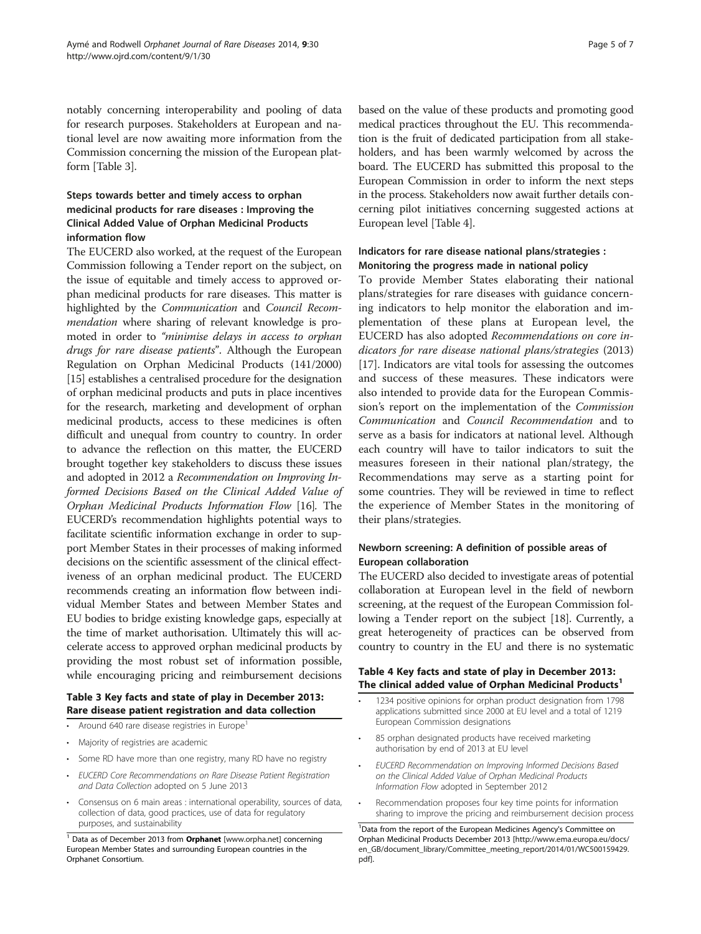notably concerning interoperability and pooling of data for research purposes. Stakeholders at European and national level are now awaiting more information from the Commission concerning the mission of the European platform [Table 3].

## Steps towards better and timely access to orphan medicinal products for rare diseases : Improving the Clinical Added Value of Orphan Medicinal Products information flow

The EUCERD also worked, at the request of the European Commission following a Tender report on the subject, on the issue of equitable and timely access to approved orphan medicinal products for rare diseases. This matter is highlighted by the Communication and Council Recommendation where sharing of relevant knowledge is promoted in order to "minimise delays in access to orphan drugs for rare disease patients". Although the European Regulation on Orphan Medicinal Products (141/2000) [[15](#page-6-0)] establishes a centralised procedure for the designation of orphan medicinal products and puts in place incentives for the research, marketing and development of orphan medicinal products, access to these medicines is often difficult and unequal from country to country. In order to advance the reflection on this matter, the EUCERD brought together key stakeholders to discuss these issues and adopted in 2012 a Recommendation on Improving Informed Decisions Based on the Clinical Added Value of Orphan Medicinal Products Information Flow [\[16\]](#page-6-0). The EUCERD's recommendation highlights potential ways to facilitate scientific information exchange in order to support Member States in their processes of making informed decisions on the scientific assessment of the clinical effectiveness of an orphan medicinal product. The EUCERD recommends creating an information flow between individual Member States and between Member States and EU bodies to bridge existing knowledge gaps, especially at the time of market authorisation. Ultimately this will accelerate access to approved orphan medicinal products by providing the most robust set of information possible, while encouraging pricing and reimbursement decisions

#### Table 3 Key facts and state of play in December 2013: Rare disease patient registration and data collection

- Around 640 rare disease registries in Europe<sup>1</sup>
- Majority of registries are academic
- Some RD have more than one registry, many RD have no registry
- EUCERD Core Recommendations on Rare Disease Patient Registration and Data Collection adopted on 5 June 2013
- Consensus on 6 main areas : international operability, sources of data, collection of data, good practices, use of data for regulatory purposes, and sustainability

<sup>1</sup> Data as of December 2013 from Orphanet [\[www.orpha.net](http://www.orpha.net/)] concerning European Member States and surrounding European countries in the Orphanet Consortium.

based on the value of these products and promoting good medical practices throughout the EU. This recommendation is the fruit of dedicated participation from all stakeholders, and has been warmly welcomed by across the board. The EUCERD has submitted this proposal to the European Commission in order to inform the next steps in the process. Stakeholders now await further details concerning pilot initiatives concerning suggested actions at European level [Table 4].

#### Indicators for rare disease national plans/strategies : Monitoring the progress made in national policy

To provide Member States elaborating their national plans/strategies for rare diseases with guidance concerning indicators to help monitor the elaboration and implementation of these plans at European level, the EUCERD has also adopted Recommendations on core indicators for rare disease national plans/strategies (2013) [[17\]](#page-6-0). Indicators are vital tools for assessing the outcomes and success of these measures. These indicators were also intended to provide data for the European Commission's report on the implementation of the Commission Communication and Council Recommendation and to serve as a basis for indicators at national level. Although each country will have to tailor indicators to suit the measures foreseen in their national plan/strategy, the Recommendations may serve as a starting point for some countries. They will be reviewed in time to reflect the experience of Member States in the monitoring of their plans/strategies.

#### Newborn screening: A definition of possible areas of European collaboration

The EUCERD also decided to investigate areas of potential collaboration at European level in the field of newborn screening, at the request of the European Commission following a Tender report on the subject [[18\]](#page-6-0). Currently, a great heterogeneity of practices can be observed from country to country in the EU and there is no systematic

#### Table 4 Key facts and state of play in December 2013: The clinical added value of Orphan Medicinal Products<sup>1</sup>

- 1234 positive opinions for orphan product designation from 1798 applications submitted since 2000 at EU level and a total of 1219 European Commission designations
- 85 orphan designated products have received marketing authorisation by end of 2013 at EU level
- EUCERD Recommendation on Improving Informed Decisions Based on the Clinical Added Value of Orphan Medicinal Products Information Flow adopted in September 2012
- Recommendation proposes four key time points for information sharing to improve the pricing and reimbursement decision process

<sup>1</sup>Data from the report of the European Medicines Agency's Committee on Orphan Medicinal Products December 2013 [[http://www.ema.europa.eu/docs/](http://www.ema.europa.eu/docs/en_GB/document_library/Committee_meeting_report/2014/01/WC500159429.pdf) [en\\_GB/document\\_library/Committee\\_meeting\\_report/2014/01/WC500159429.](http://www.ema.europa.eu/docs/en_GB/document_library/Committee_meeting_report/2014/01/WC500159429.pdf) [pdf\]](http://www.ema.europa.eu/docs/en_GB/document_library/Committee_meeting_report/2014/01/WC500159429.pdf).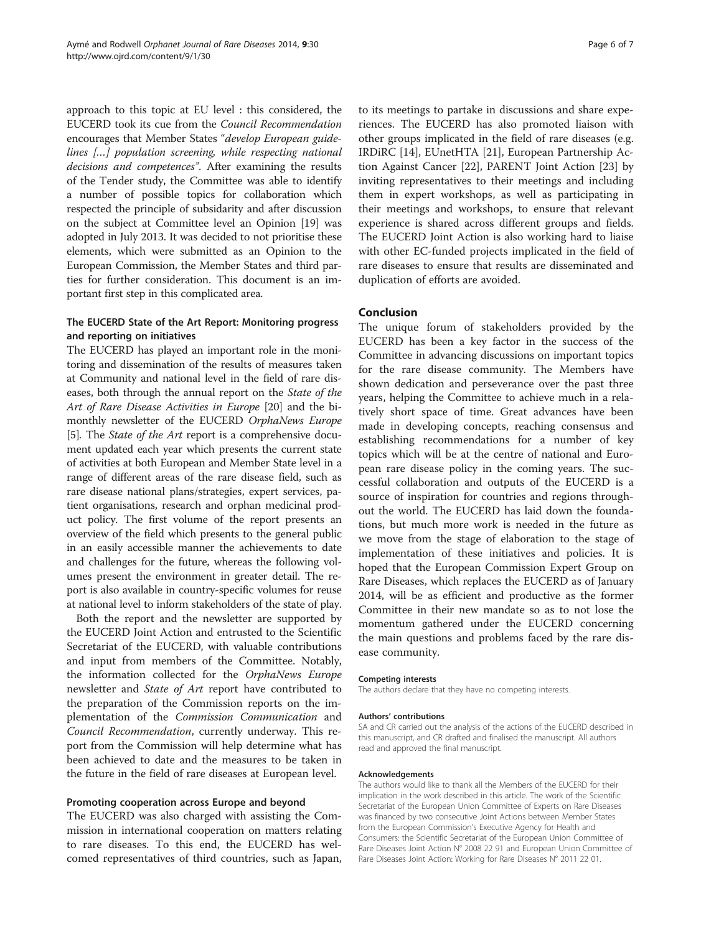approach to this topic at EU level : this considered, the EUCERD took its cue from the Council Recommendation encourages that Member States "develop European guidelines […] population screening, while respecting national decisions and competences". After examining the results of the Tender study, the Committee was able to identify a number of possible topics for collaboration which respected the principle of subsidarity and after discussion on the subject at Committee level an Opinion [[19](#page-6-0)] was adopted in July 2013. It was decided to not prioritise these elements, which were submitted as an Opinion to the European Commission, the Member States and third parties for further consideration. This document is an important first step in this complicated area.

#### The EUCERD State of the Art Report: Monitoring progress and reporting on initiatives

The EUCERD has played an important role in the monitoring and dissemination of the results of measures taken at Community and national level in the field of rare diseases, both through the annual report on the State of the Art of Rare Disease Activities in Europe [[20](#page-6-0)] and the bimonthly newsletter of the EUCERD OrphaNews Europe [[5\]](#page-6-0). The *State of the Art* report is a comprehensive document updated each year which presents the current state of activities at both European and Member State level in a range of different areas of the rare disease field, such as rare disease national plans/strategies, expert services, patient organisations, research and orphan medicinal product policy. The first volume of the report presents an overview of the field which presents to the general public in an easily accessible manner the achievements to date and challenges for the future, whereas the following volumes present the environment in greater detail. The report is also available in country-specific volumes for reuse at national level to inform stakeholders of the state of play.

Both the report and the newsletter are supported by the EUCERD Joint Action and entrusted to the Scientific Secretariat of the EUCERD, with valuable contributions and input from members of the Committee. Notably, the information collected for the OrphaNews Europe newsletter and *State of Art* report have contributed to the preparation of the Commission reports on the implementation of the Commission Communication and Council Recommendation, currently underway. This report from the Commission will help determine what has been achieved to date and the measures to be taken in the future in the field of rare diseases at European level.

#### Promoting cooperation across Europe and beyond

The EUCERD was also charged with assisting the Commission in international cooperation on matters relating to rare diseases. To this end, the EUCERD has welcomed representatives of third countries, such as Japan, to its meetings to partake in discussions and share experiences. The EUCERD has also promoted liaison with other groups implicated in the field of rare diseases (e.g. IRDiRC [[14\]](#page-6-0), EUnetHTA [\[21](#page-6-0)], European Partnership Action Against Cancer [[22\]](#page-6-0), PARENT Joint Action [\[23](#page-6-0)] by inviting representatives to their meetings and including them in expert workshops, as well as participating in their meetings and workshops, to ensure that relevant experience is shared across different groups and fields. The EUCERD Joint Action is also working hard to liaise with other EC-funded projects implicated in the field of rare diseases to ensure that results are disseminated and duplication of efforts are avoided.

### Conclusion

The unique forum of stakeholders provided by the EUCERD has been a key factor in the success of the Committee in advancing discussions on important topics for the rare disease community. The Members have shown dedication and perseverance over the past three years, helping the Committee to achieve much in a relatively short space of time. Great advances have been made in developing concepts, reaching consensus and establishing recommendations for a number of key topics which will be at the centre of national and European rare disease policy in the coming years. The successful collaboration and outputs of the EUCERD is a source of inspiration for countries and regions throughout the world. The EUCERD has laid down the foundations, but much more work is needed in the future as we move from the stage of elaboration to the stage of implementation of these initiatives and policies. It is hoped that the European Commission Expert Group on Rare Diseases, which replaces the EUCERD as of January 2014, will be as efficient and productive as the former Committee in their new mandate so as to not lose the momentum gathered under the EUCERD concerning the main questions and problems faced by the rare disease community.

#### Competing interests

The authors declare that they have no competing interests.

#### Authors' contributions

SA and CR carried out the analysis of the actions of the EUCERD described in this manuscript, and CR drafted and finalised the manuscript. All authors read and approved the final manuscript.

#### Acknowledgements

The authors would like to thank all the Members of the EUCERD for their implication in the work described in this article. The work of the Scientific Secretariat of the European Union Committee of Experts on Rare Diseases was financed by two consecutive Joint Actions between Member States from the European Commission's Executive Agency for Health and Consumers: the Scientific Secretariat of the European Union Committee of Rare Diseases Joint Action N° 2008 22 91 and European Union Committee of Rare Diseases Joint Action: Working for Rare Diseases N° 2011 22 01.